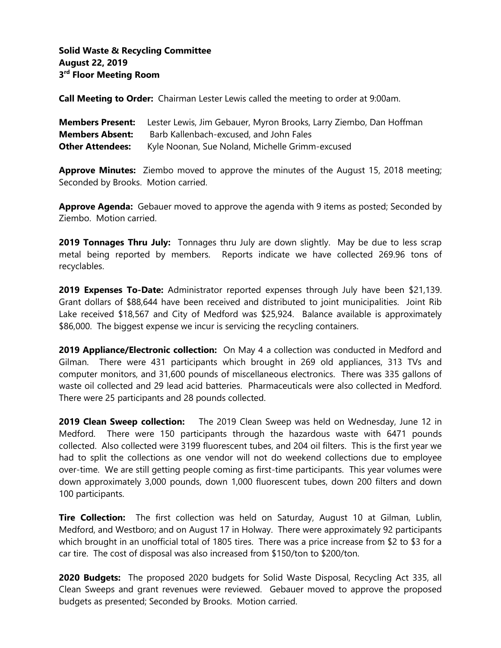## **Solid Waste & Recycling Committee August 22, 2019 3 rd Floor Meeting Room**

**Call Meeting to Order:** Chairman Lester Lewis called the meeting to order at 9:00am.

|                         | <b>Members Present:</b> Lester Lewis, Jim Gebauer, Myron Brooks, Larry Ziembo, Dan Hoffman |
|-------------------------|--------------------------------------------------------------------------------------------|
| <b>Members Absent:</b>  | Barb Kallenbach-excused, and John Fales                                                    |
| <b>Other Attendees:</b> | Kyle Noonan, Sue Noland, Michelle Grimm-excused                                            |

**Approve Minutes:** Ziembo moved to approve the minutes of the August 15, 2018 meeting; Seconded by Brooks. Motion carried.

**Approve Agenda:** Gebauer moved to approve the agenda with 9 items as posted; Seconded by Ziembo. Motion carried.

**2019 Tonnages Thru July:** Tonnages thru July are down slightly. May be due to less scrap metal being reported by members. Reports indicate we have collected 269.96 tons of recyclables.

**2019 Expenses To-Date:** Administrator reported expenses through July have been \$21,139. Grant dollars of \$88,644 have been received and distributed to joint municipalities. Joint Rib Lake received \$18,567 and City of Medford was \$25,924. Balance available is approximately \$86,000. The biggest expense we incur is servicing the recycling containers.

**2019 Appliance/Electronic collection:** On May 4 a collection was conducted in Medford and Gilman. There were 431 participants which brought in 269 old appliances, 313 TVs and computer monitors, and 31,600 pounds of miscellaneous electronics. There was 335 gallons of waste oil collected and 29 lead acid batteries. Pharmaceuticals were also collected in Medford. There were 25 participants and 28 pounds collected.

**2019 Clean Sweep collection:** The 2019 Clean Sweep was held on Wednesday, June 12 in Medford. There were 150 participants through the hazardous waste with 6471 pounds collected. Also collected were 3199 fluorescent tubes, and 204 oil filters. This is the first year we had to split the collections as one vendor will not do weekend collections due to employee over-time. We are still getting people coming as first-time participants. This year volumes were down approximately 3,000 pounds, down 1,000 fluorescent tubes, down 200 filters and down 100 participants.

**Tire Collection:** The first collection was held on Saturday, August 10 at Gilman, Lublin, Medford, and Westboro; and on August 17 in Holway. There were approximately 92 participants which brought in an unofficial total of 1805 tires. There was a price increase from \$2 to \$3 for a car tire. The cost of disposal was also increased from \$150/ton to \$200/ton.

**2020 Budgets:** The proposed 2020 budgets for Solid Waste Disposal, Recycling Act 335, all Clean Sweeps and grant revenues were reviewed. Gebauer moved to approve the proposed budgets as presented; Seconded by Brooks. Motion carried.